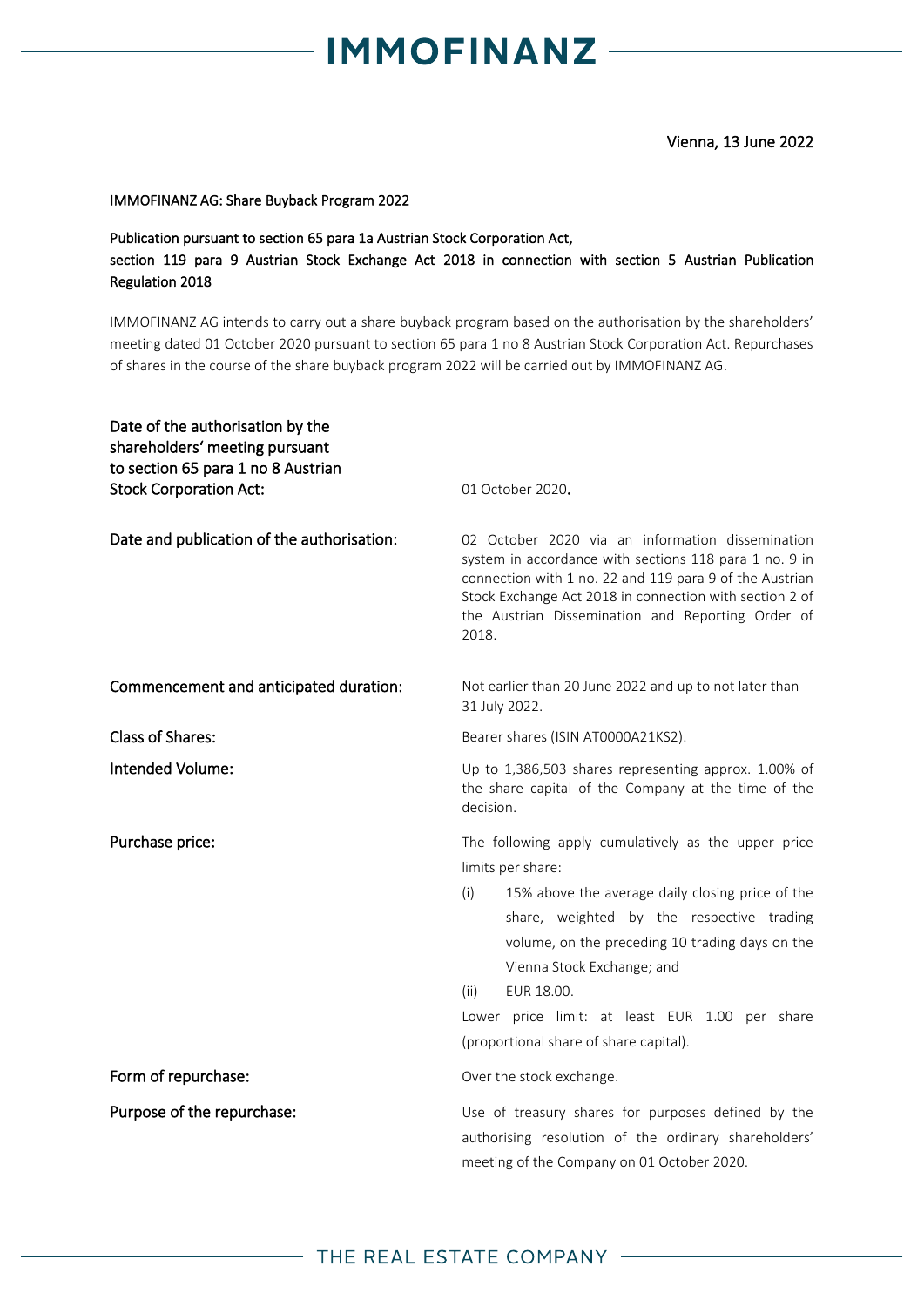## **IMMOFINANZ-**

Vienna, 13 June 2022

### IMMOFINANZ AG: Share Buyback Program 2022

### Publication pursuant to section 65 para 1a Austrian Stock Corporation Act, section 119 para 9 Austrian Stock Exchange Act 2018 in connection with section 5 Austrian Publication Regulation 2018

IMMOFINANZ AG intends to carry out a share buyback program based on the authorisation by the shareholders' meeting dated 01 October 2020 pursuant to section 65 para 1 no 8 Austrian Stock Corporation Act. Repurchases of shares in the course of the share buyback program 2022 will be carried out by IMMOFINANZ AG.

| Date of the authorisation by the<br>shareholders' meeting pursuant<br>to section 65 para 1 no 8 Austrian<br><b>Stock Corporation Act:</b> | 01 October 2020.                                                                                                                                                                                                                                                                                                                                                                    |
|-------------------------------------------------------------------------------------------------------------------------------------------|-------------------------------------------------------------------------------------------------------------------------------------------------------------------------------------------------------------------------------------------------------------------------------------------------------------------------------------------------------------------------------------|
| Date and publication of the authorisation:                                                                                                | 02 October 2020 via an information dissemination<br>system in accordance with sections 118 para 1 no. 9 in<br>connection with 1 no. 22 and 119 para 9 of the Austrian<br>Stock Exchange Act 2018 in connection with section 2 of<br>the Austrian Dissemination and Reporting Order of<br>2018.                                                                                      |
| Commencement and anticipated duration:                                                                                                    | Not earlier than 20 June 2022 and up to not later than<br>31 July 2022.                                                                                                                                                                                                                                                                                                             |
| <b>Class of Shares:</b>                                                                                                                   | Bearer shares (ISIN AT0000A21KS2).                                                                                                                                                                                                                                                                                                                                                  |
| Intended Volume:                                                                                                                          | Up to 1,386,503 shares representing approx. 1.00% of<br>the share capital of the Company at the time of the<br>decision.                                                                                                                                                                                                                                                            |
| Purchase price:                                                                                                                           | The following apply cumulatively as the upper price<br>limits per share:<br>15% above the average daily closing price of the<br>(i)<br>share, weighted by the respective trading<br>volume, on the preceding 10 trading days on the<br>Vienna Stock Exchange; and<br>EUR 18.00.<br>(ii)<br>Lower price limit: at least EUR 1.00 per share<br>(proportional share of share capital). |
| Form of repurchase:                                                                                                                       | Over the stock exchange.                                                                                                                                                                                                                                                                                                                                                            |
| Purpose of the repurchase:                                                                                                                | Use of treasury shares for purposes defined by the<br>authorising resolution of the ordinary shareholders'<br>meeting of the Company on 01 October 2020.                                                                                                                                                                                                                            |